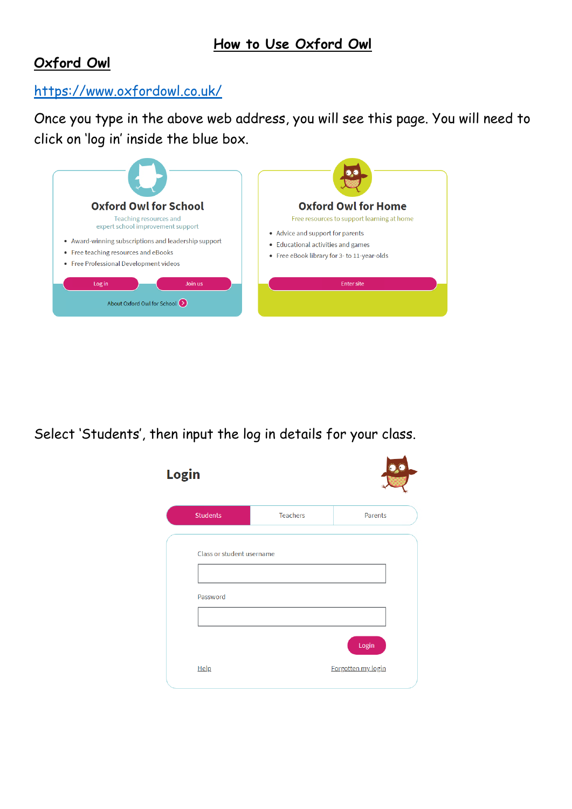## **Oxford Owl**

## <https://www.oxfordowl.co.uk/>

Once you type in the above web address, you will see this page. You will need to click on 'log in' inside the blue box.



Select 'Students', then input the log in details for your class.

| <b>Login</b> |                                       |                 |                    |
|--------------|---------------------------------------|-----------------|--------------------|
|              | <b>Students</b>                       | <b>Teachers</b> | Parents            |
|              | Class or student username<br>Password |                 | Login              |
|              | Help                                  |                 | Forgotten my login |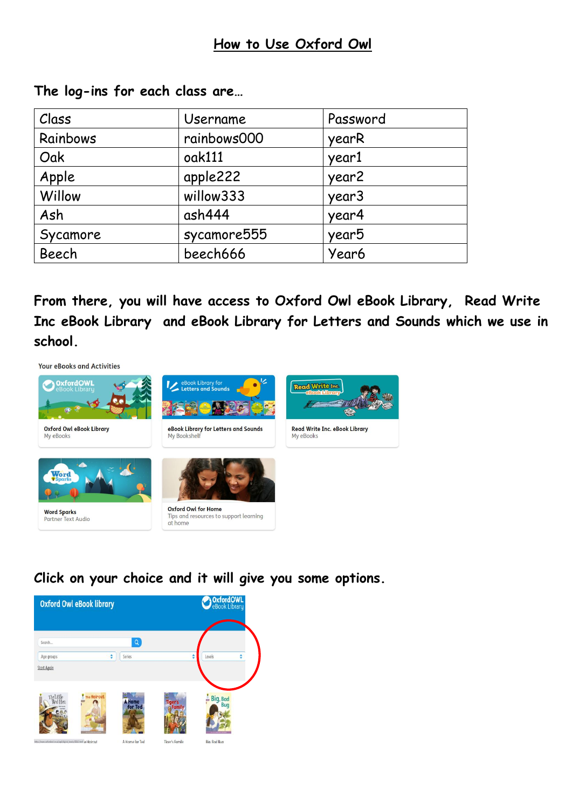| Class    | Username    | Password          |
|----------|-------------|-------------------|
| Rainbows | rainbows000 | yearR             |
| Oak      | oak111      | year1             |
| Apple    | apple222    | year2             |
| Willow   | willow333   | year <sub>3</sub> |
| Ash      | ash444      | year4             |
| Sycamore | sycamore555 | year <sub>5</sub> |
| Beech    | beech666    | Year6             |

**The log-ins for each class are…**

**From there, you will have access to Oxford Owl eBook Library, Read Write Inc eBook Library and eBook Library for Letters and Sounds which we use in school.** 



**Click on your choice and it will give you some options.**